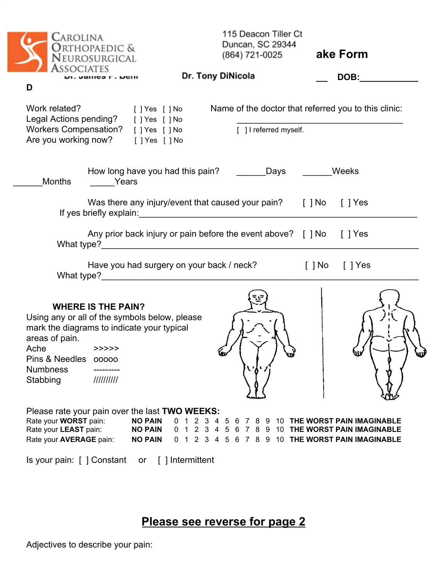| Carolina<br>Orthopaedic &<br>Neurosurgical<br><b>ASSOCIATES</b>                                                                                                                                                                     | 115 Deacon Tiller Ct<br>Duncan, SC 29344<br>(864) 721-0025                                                                                                                                                               | ake Form                                             |
|-------------------------------------------------------------------------------------------------------------------------------------------------------------------------------------------------------------------------------------|--------------------------------------------------------------------------------------------------------------------------------------------------------------------------------------------------------------------------|------------------------------------------------------|
| ы. Janicə Г. Бені<br>D                                                                                                                                                                                                              | Dr. Tony DiNicola                                                                                                                                                                                                        | DOB:                                                 |
| Work related?<br>[ ] Yes [ ] No<br>Legal Actions pending? [ ] Yes [ ] No<br>Workers Compensation? [ ] Yes [ ] No<br>Are you working now? [] Yes [] No                                                                               | [ ] I referred myself.                                                                                                                                                                                                   | Name of the doctor that referred you to this clinic: |
| Months<br><b>Example Years</b>                                                                                                                                                                                                      | How long have you had this pain? __________Days ___________Weeks                                                                                                                                                         |                                                      |
|                                                                                                                                                                                                                                     | Was there any injury/event that caused your pain? [] No [] Yes                                                                                                                                                           |                                                      |
|                                                                                                                                                                                                                                     | Any prior back injury or pain before the event above? [ ] No [ ] Yes                                                                                                                                                     |                                                      |
|                                                                                                                                                                                                                                     | Have you had surgery on your back / neck?<br>What type? Manual Manual Manual Manual Manual Manual Manual Manual Manual Manual Manual Manual Manual Manual Ma                                                             | [ ] No<br>$\lceil \ \rceil$ Yes                      |
| <b>WHERE IS THE PAIN?</b><br>Using any or all of the symbols below, please<br>mark the diagrams to indicate your typical<br>areas of pain.<br>Ache<br>>>>>><br>Pins & Needles<br>00000<br><b>Numbness</b><br>Stabbing<br>1111111111 | いかノ                                                                                                                                                                                                                      |                                                      |
| Please rate your pain over the last TWO WEEKS:<br>Rate your <b>WORST</b> pain:<br>Rate your LEAST pain:<br>Rate your <b>AVERAGE</b> pain:                                                                                           | <b>NO PAIN</b><br>0 1 2 3 4 5 6 7 8 9 10 THE WORST PAIN IMAGINABLE<br><b>NO PAIN</b><br>0 1 2 3 4 5 6 7 8 9 10 THE WORST PAIN IMAGINABLE<br><b>NO PAIN</b><br>1 2 3 4 5 6 7 8 9 10 THE WORST PAIN IMAGINABLE<br>$\Omega$ |                                                      |

Is your pain: [ ] Constant or [ ] Intermittent

## **Please see reverse for page 2**

Adjectives to describe your pain: